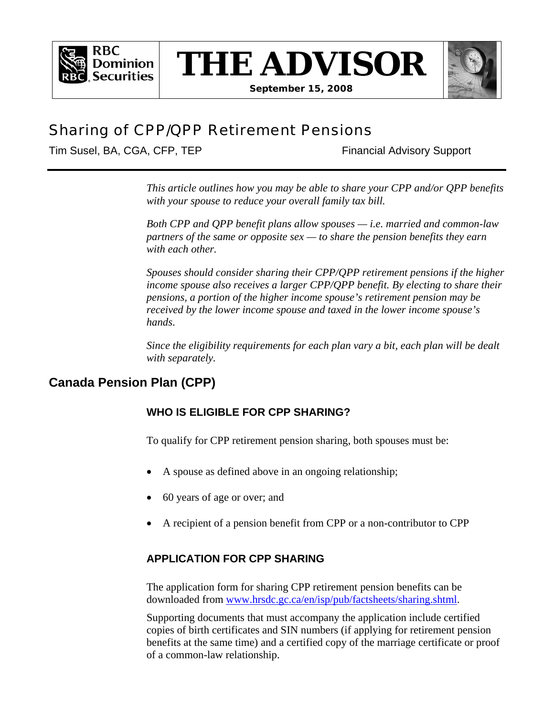







# Sharing of CPP/QPP Retirement Pensions

Tim Susel, BA, CGA, CFP, TEP Financial Advisory Support

*This article outlines how you may be able to share your CPP and/or QPP benefits with your spouse to reduce your overall family tax bill.* 

*Both CPP and QPP benefit plans allow spouses — i.e. married and common-law partners of the same or opposite sex — to share the pension benefits they earn with each other.* 

*Spouses should consider sharing their CPP/QPP retirement pensions if the higher income spouse also receives a larger CPP/QPP benefit. By electing to share their pensions, a portion of the higher income spouse's retirement pension may be received by the lower income spouse and taxed in the lower income spouse's hands*.

*Since the eligibility requirements for each plan vary a bit, each plan will be dealt with separately.* 

# **Canada Pension Plan (CPP)**

# **WHO IS ELIGIBLE FOR CPP SHARING?**

To qualify for CPP retirement pension sharing, both spouses must be:

- A spouse as defined above in an ongoing relationship;
- 60 years of age or over; and
- A recipient of a pension benefit from CPP or a non-contributor to CPP

## **APPLICATION FOR CPP SHARING**

The application form for sharing CPP retirement pension benefits can be downloaded from www.hrsdc.gc.ca/en/isp/pub/factsheets/sharing.shtml.

Supporting documents that must accompany the application include certified copies of birth certificates and SIN numbers (if applying for retirement pension benefits at the same time) and a certified copy of the marriage certificate or proof of a common-law relationship.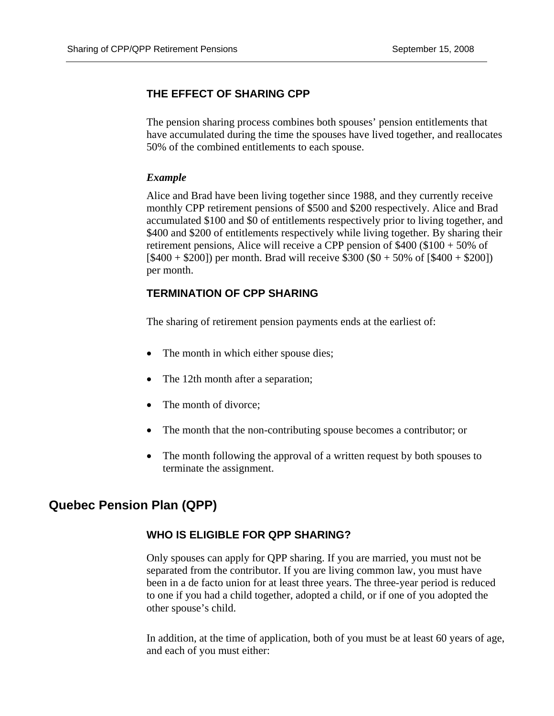### **THE EFFECT OF SHARING CPP**

The pension sharing process combines both spouses' pension entitlements that have accumulated during the time the spouses have lived together, and reallocates 50% of the combined entitlements to each spouse.

#### *Example*

Alice and Brad have been living together since 1988, and they currently receive monthly CPP retirement pensions of \$500 and \$200 respectively. Alice and Brad accumulated \$100 and \$0 of entitlements respectively prior to living together, and \$400 and \$200 of entitlements respectively while living together. By sharing their retirement pensions, Alice will receive a CPP pension of \$400 (\$100 + 50% of  $[$400 + $200]$ ) per month. Brad will receive \$300 (\$0 + 50% of  $[$400 + $200]$ ) per month.

#### **TERMINATION OF CPP SHARING**

The sharing of retirement pension payments ends at the earliest of:

- The month in which either spouse dies;
- The 12th month after a separation;
- The month of divorce:
- The month that the non-contributing spouse becomes a contributor; or
- The month following the approval of a written request by both spouses to terminate the assignment.

# **Quebec Pension Plan (QPP)**

#### **WHO IS ELIGIBLE FOR QPP SHARING?**

Only spouses can apply for QPP sharing. If you are married, you must not be separated from the contributor. If you are living common law, you must have been in a de facto union for at least three years. The three-year period is reduced to one if you had a child together, adopted a child, or if one of you adopted the other spouse's child.

In addition, at the time of application, both of you must be at least 60 years of age, and each of you must either: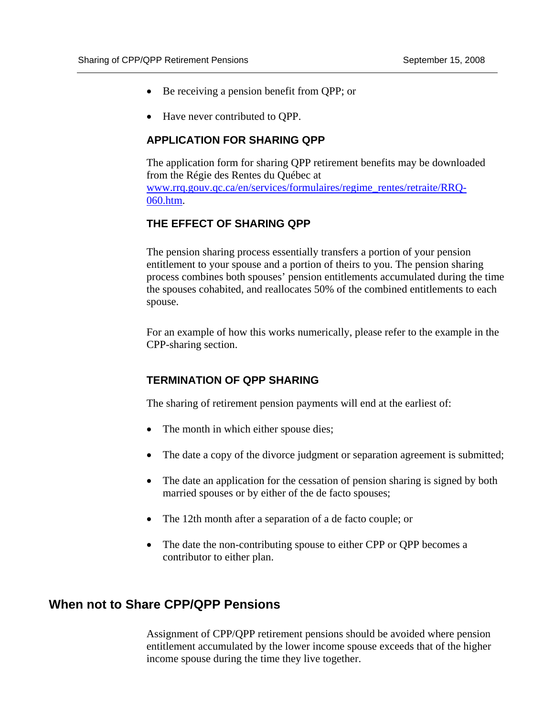- Be receiving a pension benefit from QPP; or
- Have never contributed to OPP.

#### **APPLICATION FOR SHARING QPP**

The application form for sharing QPP retirement benefits may be downloaded from the Régie des Rentes du Québec at www.rrq.gouv.qc.ca/en/services/formulaires/regime\_rentes/retraite/RRQ-060.htm.

### **THE EFFECT OF SHARING QPP**

The pension sharing process essentially transfers a portion of your pension entitlement to your spouse and a portion of theirs to you. The pension sharing process combines both spouses' pension entitlements accumulated during the time the spouses cohabited, and reallocates 50% of the combined entitlements to each spouse.

For an example of how this works numerically, please refer to the example in the CPP-sharing section.

#### **TERMINATION OF QPP SHARING**

The sharing of retirement pension payments will end at the earliest of:

- The month in which either spouse dies;
- The date a copy of the divorce judgment or separation agreement is submitted;
- The date an application for the cessation of pension sharing is signed by both married spouses or by either of the de facto spouses;
- The 12th month after a separation of a de facto couple; or
- The date the non-contributing spouse to either CPP or QPP becomes a contributor to either plan.

### **When not to Share CPP/QPP Pensions**

Assignment of CPP/QPP retirement pensions should be avoided where pension entitlement accumulated by the lower income spouse exceeds that of the higher income spouse during the time they live together.